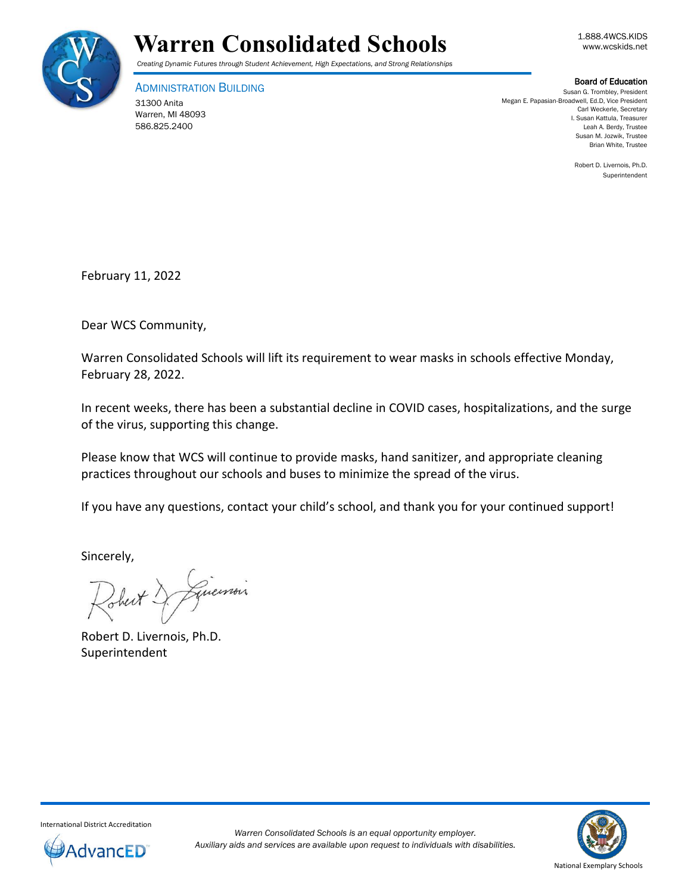

## **Warren Consolidated Schools Warren Consolidated Schools**

*Creating Dynamic Futures through Student Achievement, High Expectations, and Strong Relationships*

ADMINISTRATION BUILDING

31300 Anita Warren, MI 48093 586.825.2400

Board of Education

Susan G. Trombley, President Megan E. Papasian-Broadwell, Ed.D, Vice President Carl Weckerle, Secretary I. Susan Kattula, Treasurer Leah A. Berdy, Trustee Susan M. Jozwik, Trustee Brian White, Trustee

> Robert D. Livernois, Ph.D. Superintendent

February 11, 2022

Dear WCS Community,

Warren Consolidated Schools will lift its requirement to wear masks in schools effective Monday, February 28, 2022.

In recent weeks, there has been a substantial decline in COVID cases, hospitalizations, and the surge of the virus, supporting this change.

Please know that WCS will continue to provide masks, hand sanitizer, and appropriate cleaning practices throughout our schools and buses to minimize the spread of the virus.

If you have any questions, contact your child's school, and thank you for your continued support!

Sincerely,

Guerrois

Robert D. Livernois, Ph.D. Superintendent



International District Accreditation